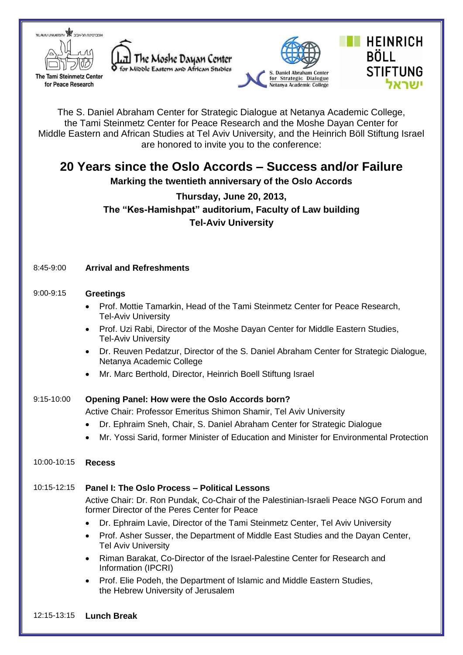

The Tami Steinmetz Center for Peace Research







The S. Daniel Abraham Center for Strategic Dialogue at Netanya Academic College, the Tami Steinmetz Center for Peace Research and the Moshe Dayan Center for Middle Eastern and African Studies at Tel Aviv University, and the Heinrich Böll Stiftung Israel are honored to invite you to the conference:

# **20 Years since the Oslo Accords – Success and/or Failure**

**Marking the twentieth anniversary of the Oslo Accords**

# **Thursday, June 20, 2013, The "Kes-Hamishpat" auditorium, Faculty of Law building Tel-Aviv University**

# 8:45-9:00 **Arrival and Refreshments**

#### 9:00-9:15 **Greetings**

- Prof. Mottie Tamarkin, Head of the Tami Steinmetz Center for Peace Research, Tel-Aviv University
- Prof. Uzi Rabi, Director of the Moshe Dayan Center for Middle Eastern Studies, Tel-Aviv University
- Dr. Reuven Pedatzur, Director of the S. Daniel Abraham Center for Strategic Dialogue, Netanya Academic College
- Mr. Marc Berthold, Director, Heinrich Boell Stiftung Israel

#### 9:15-10:00 **Opening Panel: How were the Oslo Accords born?**

Active Chair: Professor Emeritus Shimon Shamir, Tel Aviv University

- Dr. Ephraim Sneh, Chair, S. Daniel Abraham Center for Strategic Dialogue
- Mr. Yossi Sarid, former Minister of Education and Minister for Environmental Protection

#### 10:00-10:15 **Recess**

# 10:15-12:15 **Panel I: The Oslo Process – Political Lessons**

Active Chair: Dr. Ron Pundak, Co-Chair of the Palestinian-Israeli Peace NGO Forum and former Director of the Peres Center for Peace

- Dr. Ephraim Lavie, Director of the Tami Steinmetz Center, Tel Aviv University
- Prof. Asher Susser, the Department of Middle East Studies and the Dayan Center, Tel Aviv University
- Riman Barakat, Co-Director of the Israel-Palestine Center for Research and Information (IPCRI)
- Prof. Elie Podeh, the Department of Islamic and Middle Eastern Studies, the Hebrew University of Jerusalem